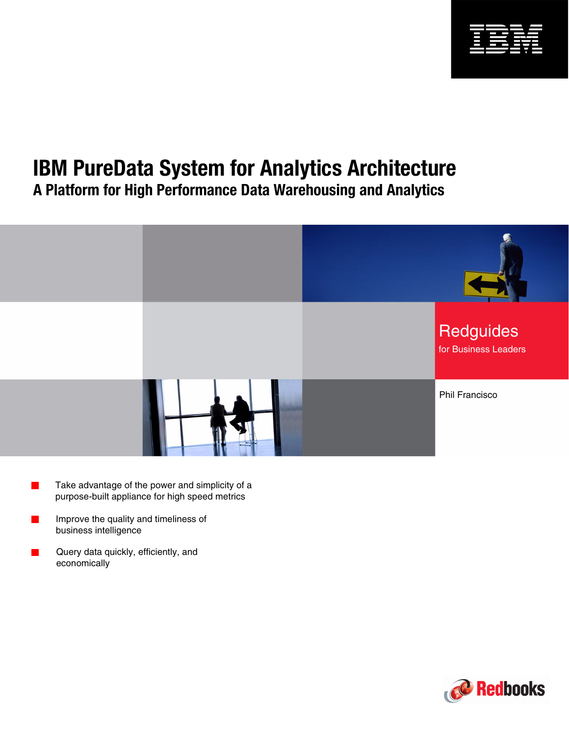

# **IBM PureData System for Analytics Architecture**

**A Platform for High Performance Data Warehousing and Analytics**



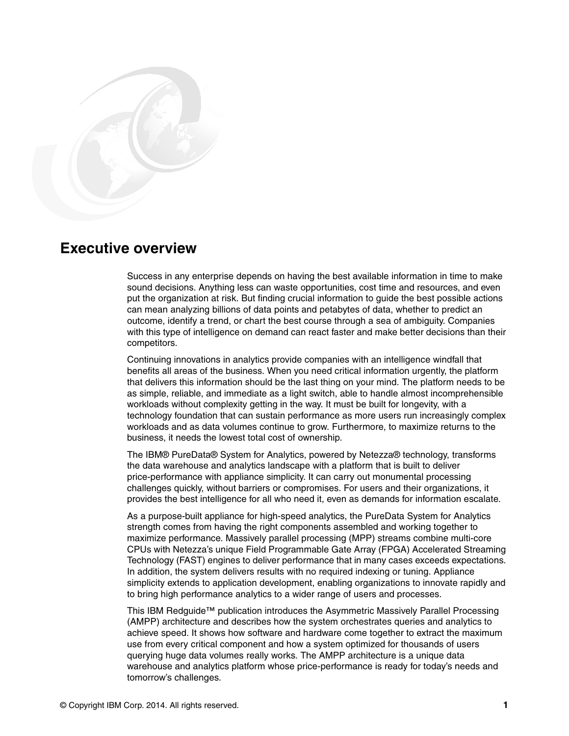

## **Executive overview**

Success in any enterprise depends on having the best available information in time to make sound decisions. Anything less can waste opportunities, cost time and resources, and even put the organization at risk. But finding crucial information to guide the best possible actions can mean analyzing billions of data points and petabytes of data, whether to predict an outcome, identify a trend, or chart the best course through a sea of ambiguity. Companies with this type of intelligence on demand can react faster and make better decisions than their competitors.

Continuing innovations in analytics provide companies with an intelligence windfall that benefits all areas of the business. When you need critical information urgently, the platform that delivers this information should be the last thing on your mind. The platform needs to be as simple, reliable, and immediate as a light switch, able to handle almost incomprehensible workloads without complexity getting in the way. It must be built for longevity, with a technology foundation that can sustain performance as more users run increasingly complex workloads and as data volumes continue to grow. Furthermore, to maximize returns to the business, it needs the lowest total cost of ownership.

The IBM® PureData® System for Analytics, powered by Netezza® technology, transforms the data warehouse and analytics landscape with a platform that is built to deliver price-performance with appliance simplicity. It can carry out monumental processing challenges quickly, without barriers or compromises. For users and their organizations, it provides the best intelligence for all who need it, even as demands for information escalate.

As a purpose-built appliance for high-speed analytics, the PureData System for Analytics strength comes from having the right components assembled and working together to maximize performance. Massively parallel processing (MPP) streams combine multi-core CPUs with Netezza's unique Field Programmable Gate Array (FPGA) Accelerated Streaming Technology (FAST) engines to deliver performance that in many cases exceeds expectations. In addition, the system delivers results with no required indexing or tuning. Appliance simplicity extends to application development, enabling organizations to innovate rapidly and to bring high performance analytics to a wider range of users and processes.

This IBM Redguide™ publication introduces the Asymmetric Massively Parallel Processing (AMPP) architecture and describes how the system orchestrates queries and analytics to achieve speed. It shows how software and hardware come together to extract the maximum use from every critical component and how a system optimized for thousands of users querying huge data volumes really works. The AMPP architecture is a unique data warehouse and analytics platform whose price-performance is ready for today's needs and tomorrow's challenges.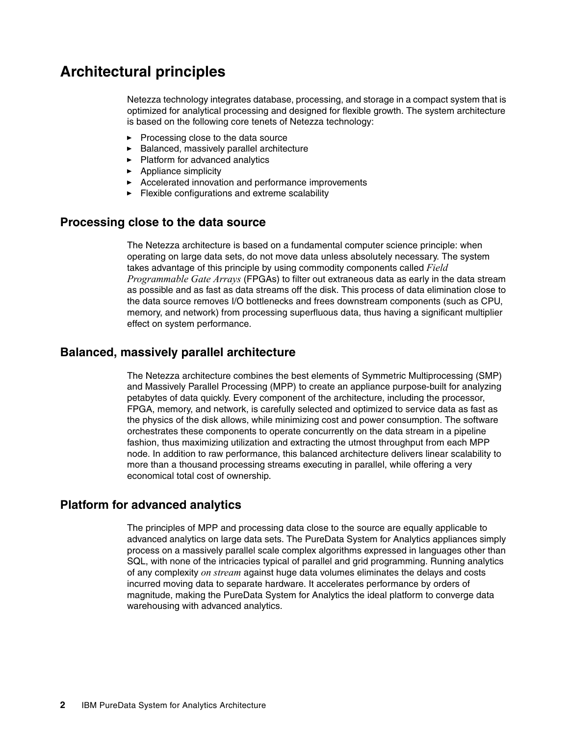# **Architectural principles**

Netezza technology integrates database, processing, and storage in a compact system that is optimized for analytical processing and designed for flexible growth. The system architecture is based on the following core tenets of Netezza technology:

- ► [Processing close to the data source](#page-3-0)
- [Balanced, massively parallel architecture](#page-3-1)
- ► [Platform for advanced analytics](#page-3-2)
- **[Appliance simplicity](#page-4-0)**
- [Accelerated innovation and performance improvements](#page-4-1)
- [Flexible configurations and extreme scalability](#page-4-2)

#### <span id="page-3-0"></span>**Processing close to the data source**

The Netezza architecture is based on a fundamental computer science principle: when operating on large data sets, do not move data unless absolutely necessary. The system takes advantage of this principle by using commodity components called *Field Programmable Gate Arrays* (FPGAs) to filter out extraneous data as early in the data stream as possible and as fast as data streams off the disk. This process of data elimination close to the data source removes I/O bottlenecks and frees downstream components (such as CPU, memory, and network) from processing superfluous data, thus having a significant multiplier effect on system performance.

#### <span id="page-3-1"></span>**Balanced, massively parallel architecture**

The Netezza architecture combines the best elements of Symmetric Multiprocessing (SMP) and Massively Parallel Processing (MPP) to create an appliance purpose-built for analyzing petabytes of data quickly. Every component of the architecture, including the processor, FPGA, memory, and network, is carefully selected and optimized to service data as fast as the physics of the disk allows, while minimizing cost and power consumption. The software orchestrates these components to operate concurrently on the data stream in a pipeline fashion, thus maximizing utilization and extracting the utmost throughput from each MPP node. In addition to raw performance, this balanced architecture delivers linear scalability to more than a thousand processing streams executing in parallel, while offering a very economical total cost of ownership.

#### <span id="page-3-2"></span>**Platform for advanced analytics**

The principles of MPP and processing data close to the source are equally applicable to advanced analytics on large data sets. The PureData System for Analytics appliances simply process on a massively parallel scale complex algorithms expressed in languages other than SQL, with none of the intricacies typical of parallel and grid programming. Running analytics of any complexity *on stream* against huge data volumes eliminates the delays and costs incurred moving data to separate hardware. It accelerates performance by orders of magnitude, making the PureData System for Analytics the ideal platform to converge data warehousing with advanced analytics.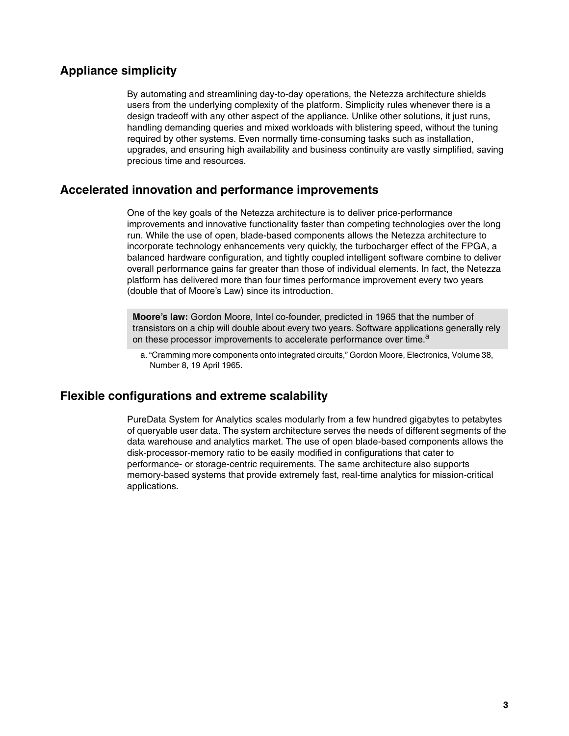### <span id="page-4-0"></span>**Appliance simplicity**

By automating and streamlining day-to-day operations, the Netezza architecture shields users from the underlying complexity of the platform. Simplicity rules whenever there is a design tradeoff with any other aspect of the appliance. Unlike other solutions, it just runs, handling demanding queries and mixed workloads with blistering speed, without the tuning required by other systems. Even normally time-consuming tasks such as installation, upgrades, and ensuring high availability and business continuity are vastly simplified, saving precious time and resources.

#### <span id="page-4-1"></span>**Accelerated innovation and performance improvements**

One of the key goals of the Netezza architecture is to deliver price-performance improvements and innovative functionality faster than competing technologies over the long run. While the use of open, blade-based components allows the Netezza architecture to incorporate technology enhancements very quickly, the turbocharger effect of the FPGA, a balanced hardware configuration, and tightly coupled intelligent software combine to deliver overall performance gains far greater than those of individual elements. In fact, the Netezza platform has delivered more than four times performance improvement every two years (double that of Moore's Law) since its introduction.

**Moore's law:** Gordon Moore, Intel co-founder, predicted in 1965 that the number of transistors on a chip will double about every two years. Software applications generally rely on these processor improvements to accelerate performance over time.<sup>a</sup>

a. "Cramming more components onto integrated circuits," Gordon Moore, Electronics, Volume 38, Number 8, 19 April 1965.

#### <span id="page-4-2"></span>**Flexible configurations and extreme scalability**

PureData System for Analytics scales modularly from a few hundred gigabytes to petabytes of queryable user data. The system architecture serves the needs of different segments of the data warehouse and analytics market. The use of open blade-based components allows the disk-processor-memory ratio to be easily modified in configurations that cater to performance- or storage-centric requirements. The same architecture also supports memory-based systems that provide extremely fast, real-time analytics for mission-critical applications.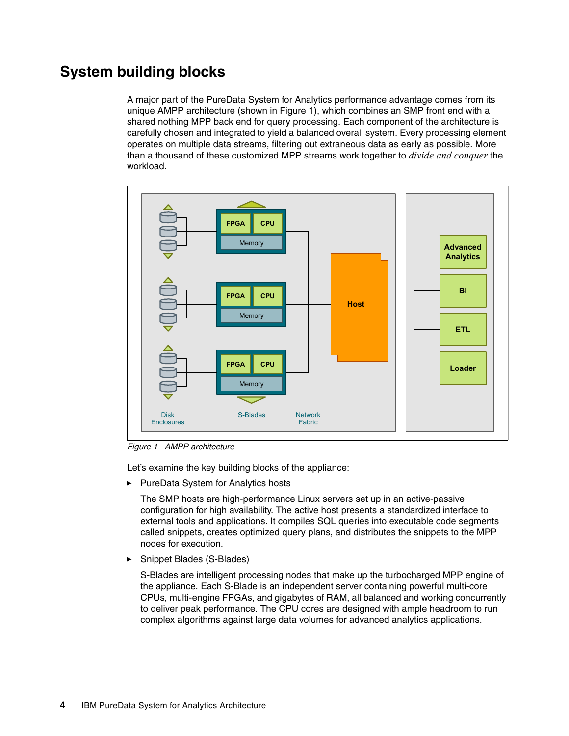# **System building blocks**

A major part of the PureData System for Analytics performance advantage comes from its unique AMPP architecture (shown in [Figure 1\)](#page-5-0), which combines an SMP front end with a shared nothing MPP back end for query processing. Each component of the architecture is carefully chosen and integrated to yield a balanced overall system. Every processing element operates on multiple data streams, filtering out extraneous data as early as possible. More than a thousand of these customized MPP streams work together to *divide and conquer* the workload.



<span id="page-5-0"></span>Figure 1 AMPP architecture

Let's examine the key building blocks of the appliance:

► PureData System for Analytics hosts

The SMP hosts are high-performance Linux servers set up in an active-passive configuration for high availability. The active host presents a standardized interface to external tools and applications. It compiles SQL queries into executable code segments called snippets, creates optimized query plans, and distributes the snippets to the MPP nodes for execution.

-Snippet Blades (S-Blades)

> S-Blades are intelligent processing nodes that make up the turbocharged MPP engine of the appliance. Each S-Blade is an independent server containing powerful multi-core CPUs, multi-engine FPGAs, and gigabytes of RAM, all balanced and working concurrently to deliver peak performance. The CPU cores are designed with ample headroom to run complex algorithms against large data volumes for advanced analytics applications.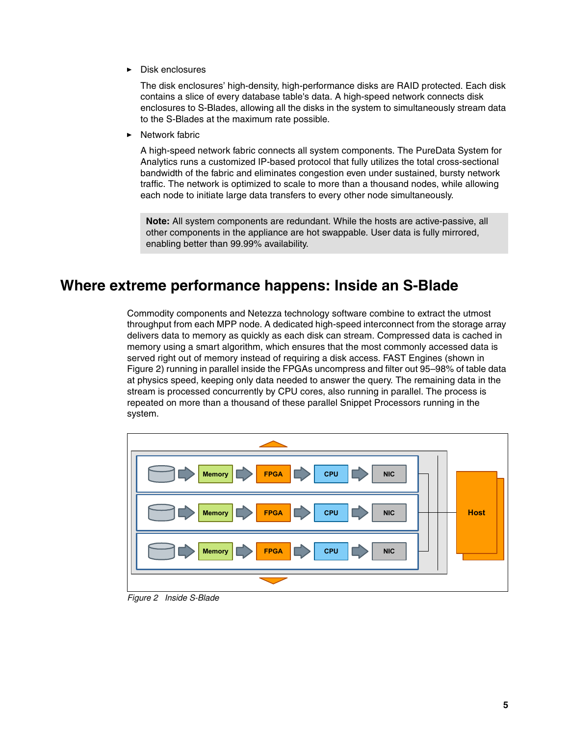-Disk enclosures

> The disk enclosures' high-density, high-performance disks are RAID protected. Each disk contains a slice of every database table's data. A high-speed network connects disk enclosures to S-Blades, allowing all the disks in the system to simultaneously stream data to the S-Blades at the maximum rate possible.

-Network fabric

> A high-speed network fabric connects all system components. The PureData System for Analytics runs a customized IP-based protocol that fully utilizes the total cross-sectional bandwidth of the fabric and eliminates congestion even under sustained, bursty network traffic. The network is optimized to scale to more than a thousand nodes, while allowing each node to initiate large data transfers to every other node simultaneously.

**Note:** All system components are redundant. While the hosts are active-passive, all other components in the appliance are hot swappable. User data is fully mirrored, enabling better than 99.99% availability.

## **Where extreme performance happens: Inside an S-Blade**

Commodity components and Netezza technology software combine to extract the utmost throughput from each MPP node. A dedicated high-speed interconnect from the storage array delivers data to memory as quickly as each disk can stream. Compressed data is cached in memory using a smart algorithm, which ensures that the most commonly accessed data is served right out of memory instead of requiring a disk access. FAST Engines (shown in [Figure 2](#page-6-0)) running in parallel inside the FPGAs uncompress and filter out 95–98% of table data at physics speed, keeping only data needed to answer the query. The remaining data in the stream is processed concurrently by CPU cores, also running in parallel. The process is repeated on more than a thousand of these parallel Snippet Processors running in the system.



<span id="page-6-0"></span>Figure 2 Inside S-Blade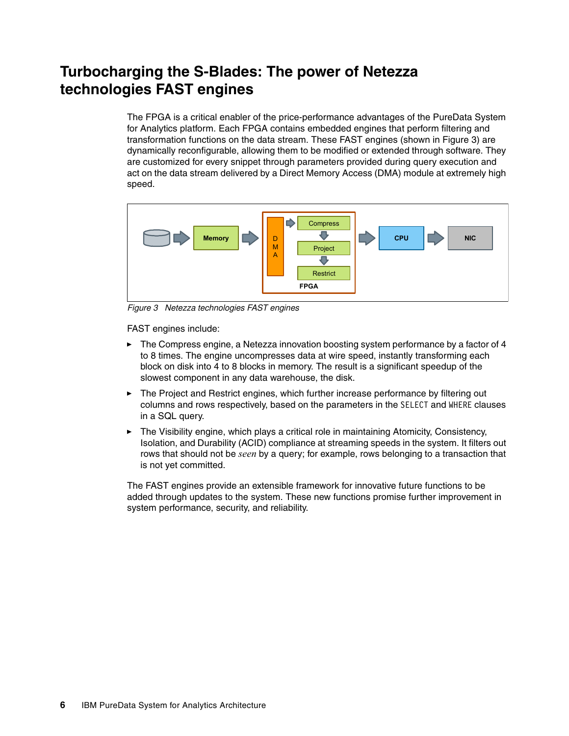# **Turbocharging the S-Blades: The power of Netezza technologies FAST engines**

The FPGA is a critical enabler of the price-performance advantages of the PureData System for Analytics platform. Each FPGA contains embedded engines that perform filtering and transformation functions on the data stream. These FAST engines (shown in [Figure 3\)](#page-7-0) are dynamically reconfigurable, allowing them to be modified or extended through software. They are customized for every snippet through parameters provided during query execution and act on the data stream delivered by a Direct Memory Access (DMA) module at extremely high speed.



<span id="page-7-0"></span>Figure 3 Netezza technologies FAST engines

FAST engines include:

- ► The Compress engine, a Netezza innovation boosting system performance by a factor of 4 to 8 times. The engine uncompresses data at wire speed, instantly transforming each block on disk into 4 to 8 blocks in memory. The result is a significant speedup of the slowest component in any data warehouse, the disk.
- The Project and Restrict engines, which further increase performance by filtering out columns and rows respectively, based on the parameters in the SELECT and WHERE clauses in a SQL query.
- The Visibility engine, which plays a critical role in maintaining Atomicity, Consistency, Isolation, and Durability (ACID) compliance at streaming speeds in the system. It filters out rows that should not be *seen* by a query; for example, rows belonging to a transaction that is not yet committed.

The FAST engines provide an extensible framework for innovative future functions to be added through updates to the system. These new functions promise further improvement in system performance, security, and reliability.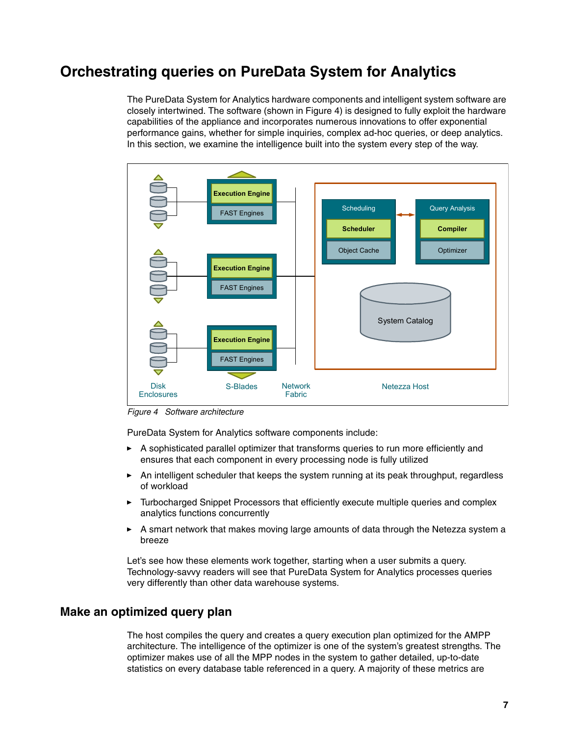# **Orchestrating queries on PureData System for Analytics**

The PureData System for Analytics hardware components and intelligent system software are closely intertwined. The software (shown in [Figure 4\)](#page-8-0) is designed to fully exploit the hardware capabilities of the appliance and incorporates numerous innovations to offer exponential performance gains, whether for simple inquiries, complex ad-hoc queries, or deep analytics. In this section, we examine the intelligence built into the system every step of the way.



<span id="page-8-0"></span>Figure 4 Software architecture

PureData System for Analytics software components include:

- A sophisticated parallel optimizer that transforms queries to run more efficiently and ensures that each component in every processing node is fully utilized
- An intelligent scheduler that keeps the system running at its peak throughput, regardless of workload
- - Turbocharged Snippet Processors that efficiently execute multiple queries and complex analytics functions concurrently
- - A smart network that makes moving large amounts of data through the Netezza system a breeze

Let's see how these elements work together, starting when a user submits a query. Technology-savvy readers will see that PureData System for Analytics processes queries very differently than other data warehouse systems.

#### **Make an optimized query plan**

The host compiles the query and creates a query execution plan optimized for the AMPP architecture. The intelligence of the optimizer is one of the system's greatest strengths. The optimizer makes use of all the MPP nodes in the system to gather detailed, up-to-date statistics on every database table referenced in a query. A majority of these metrics are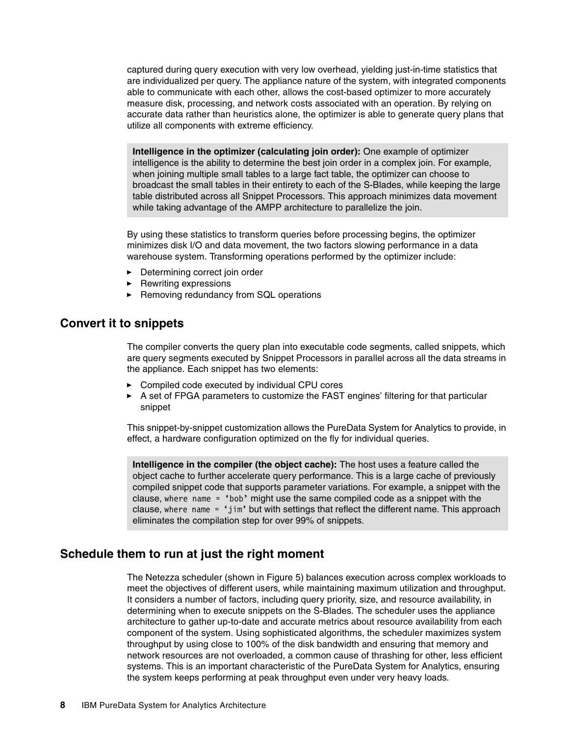captured during query execution with very low overhead, yielding just-in-time statistics that are individualized per query. The appliance nature of the system, with integrated components able to communicate with each other, allows the cost-based optimizer to more accurately measure disk, processing, and network costs associated with an operation. By relying on accurate data rather than heuristics alone, the optimizer is able to generate query plans that utilize all components with extreme efficiency.

**Intelligence in the optimizer (calculating join order):** One example of optimizer intelligence is the ability to determine the best join order in a complex join. For example, when joining multiple small tables to a large fact table, the optimizer can choose to broadcast the small tables in their entirety to each of the S-Blades, while keeping the large table distributed across all Snippet Processors. This approach minimizes data movement while taking advantage of the AMPP architecture to parallelize the join.

By using these statistics to transform queries before processing begins, the optimizer minimizes disk I/O and data movement, the two factors slowing performance in a data warehouse system. Transforming operations performed by the optimizer include:

- **Determining correct join order**
- **EXEC** Rewriting expressions
- ► Removing redundancy from SQL operations

#### **Convert it to snippets**

The compiler converts the query plan into executable code segments, called snippets, which are query segments executed by Snippet Processors in parallel across all the data streams in the appliance. Each snippet has two elements:

- -Compiled code executed by individual CPU cores
- ► A set of FPGA parameters to customize the FAST engines' filtering for that particular snippet

This snippet-by-snippet customization allows the PureData System for Analytics to provide, in effect, a hardware configuration optimized on the fly for individual queries.

**Intelligence in the compiler (the object cache):** The host uses a feature called the object cache to further accelerate query performance. This is a large cache of previously compiled snippet code that supports parameter variations. For example, a snippet with the clause, where name = 'bob' might use the same compiled code as a snippet with the clause, where name = 'jim' but with settings that reflect the different name. This approach eliminates the compilation step for over 99% of snippets.

#### **Schedule them to run at just the right moment**

The Netezza scheduler (shown in [Figure 5\)](#page-10-0) balances execution across complex workloads to meet the objectives of different users, while maintaining maximum utilization and throughput. It considers a number of factors, including query priority, size, and resource availability, in determining when to execute snippets on the S-Blades. The scheduler uses the appliance architecture to gather up-to-date and accurate metrics about resource availability from each component of the system. Using sophisticated algorithms, the scheduler maximizes system throughput by using close to 100% of the disk bandwidth and ensuring that memory and network resources are not overloaded, a common cause of thrashing for other, less efficient systems. This is an important characteristic of the PureData System for Analytics, ensuring the system keeps performing at peak throughput even under very heavy loads.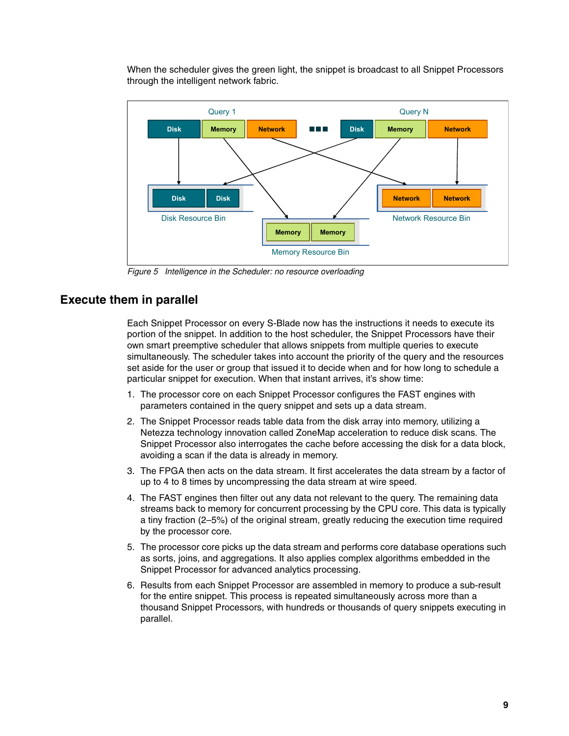When the scheduler gives the green light, the snippet is broadcast to all Snippet Processors through the intelligent network fabric.



<span id="page-10-0"></span>Figure 5 Intelligence in the Scheduler: no resource overloading

#### **Execute them in parallel**

Each Snippet Processor on every S-Blade now has the instructions it needs to execute its portion of the snippet. In addition to the host scheduler, the Snippet Processors have their own smart preemptive scheduler that allows snippets from multiple queries to execute simultaneously. The scheduler takes into account the priority of the query and the resources set aside for the user or group that issued it to decide when and for how long to schedule a particular snippet for execution. When that instant arrives, it's show time:

- 1. The processor core on each Snippet Processor configures the FAST engines with parameters contained in the query snippet and sets up a data stream.
- 2. The Snippet Processor reads table data from the disk array into memory, utilizing a Netezza technology innovation called ZoneMap acceleration to reduce disk scans. The Snippet Processor also interrogates the cache before accessing the disk for a data block, avoiding a scan if the data is already in memory.
- 3. The FPGA then acts on the data stream. It first accelerates the data stream by a factor of up to 4 to 8 times by uncompressing the data stream at wire speed.
- 4. The FAST engines then filter out any data not relevant to the query. The remaining data streams back to memory for concurrent processing by the CPU core. This data is typically a tiny fraction (2–5%) of the original stream, greatly reducing the execution time required by the processor core.
- 5. The processor core picks up the data stream and performs core database operations such as sorts, joins, and aggregations. It also applies complex algorithms embedded in the Snippet Processor for advanced analytics processing.
- 6. Results from each Snippet Processor are assembled in memory to produce a sub-result for the entire snippet. This process is repeated simultaneously across more than a thousand Snippet Processors, with hundreds or thousands of query snippets executing in parallel.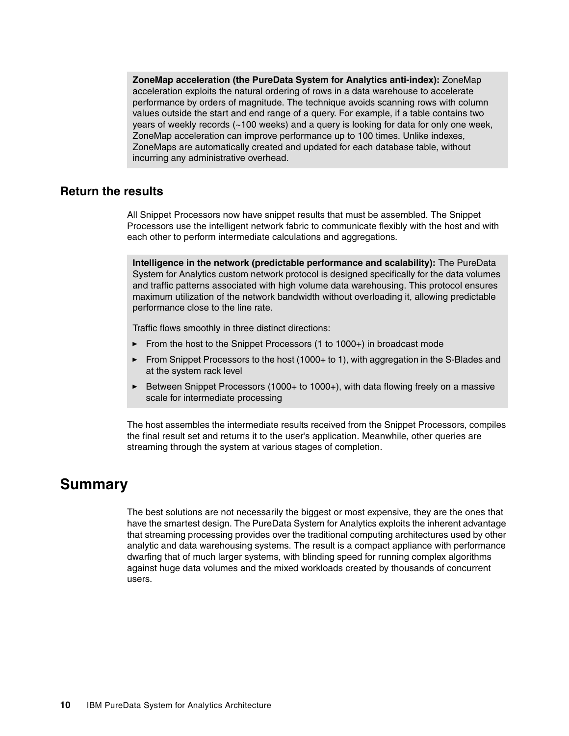**ZoneMap acceleration (the PureData System for Analytics anti-index):** ZoneMap acceleration exploits the natural ordering of rows in a data warehouse to accelerate performance by orders of magnitude. The technique avoids scanning rows with column values outside the start and end range of a query. For example, if a table contains two years of weekly records (~100 weeks) and a query is looking for data for only one week, ZoneMap acceleration can improve performance up to 100 times. Unlike indexes, ZoneMaps are automatically created and updated for each database table, without incurring any administrative overhead.

#### **Return the results**

All Snippet Processors now have snippet results that must be assembled. The Snippet Processors use the intelligent network fabric to communicate flexibly with the host and with each other to perform intermediate calculations and aggregations.

**Intelligence in the network (predictable performance and scalability):** The PureData System for Analytics custom network protocol is designed specifically for the data volumes and traffic patterns associated with high volume data warehousing. This protocol ensures maximum utilization of the network bandwidth without overloading it, allowing predictable performance close to the line rate.

Traffic flows smoothly in three distinct directions:

- ► From the host to the Snippet Processors (1 to 1000+) in broadcast mode
- ► From Snippet Processors to the host (1000+ to 1), with aggregation in the S-Blades and at the system rack level
- ► Between Snippet Processors (1000+ to 1000+), with data flowing freely on a massive scale for intermediate processing

The host assembles the intermediate results received from the Snippet Processors, compiles the final result set and returns it to the user's application. Meanwhile, other queries are streaming through the system at various stages of completion.

## **Summary**

The best solutions are not necessarily the biggest or most expensive, they are the ones that have the smartest design. The PureData System for Analytics exploits the inherent advantage that streaming processing provides over the traditional computing architectures used by other analytic and data warehousing systems. The result is a compact appliance with performance dwarfing that of much larger systems, with blinding speed for running complex algorithms against huge data volumes and the mixed workloads created by thousands of concurrent users.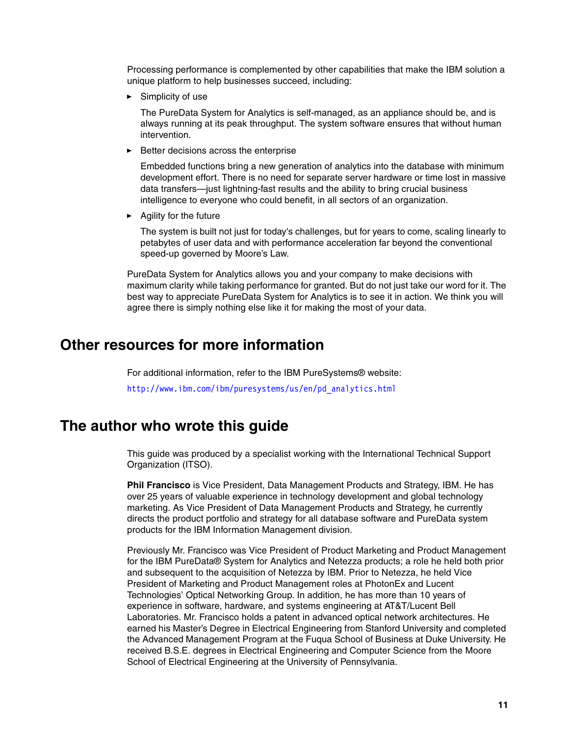Processing performance is complemented by other capabilities that make the IBM solution a unique platform to help businesses succeed, including:

► Simplicity of use

The PureData System for Analytics is self-managed, as an appliance should be, and is always running at its peak throughput. The system software ensures that without human intervention.

-Better decisions across the enterprise

Embedded functions bring a new generation of analytics into the database with minimum development effort. There is no need for separate server hardware or time lost in massive data transfers—just lightning-fast results and the ability to bring crucial business intelligence to everyone who could benefit, in all sectors of an organization.

**Agility for the future** 

The system is built not just for today's challenges, but for years to come, scaling linearly to petabytes of user data and with performance acceleration far beyond the conventional speed-up governed by Moore's Law.

PureData System for Analytics allows you and your company to make decisions with maximum clarity while taking performance for granted. But do not just take our word for it. The best way to appreciate PureData System for Analytics is to see it in action. We think you will agree there is simply nothing else like it for making the most of your data.

## **Other resources for more information**

For additional information, refer to the IBM PureSystems® website: [http://www.ibm.com/ibm/puresystems/us/en/pd\\_analytics.html](http://www.ibm.com/ibm/puresystems/us/en/pd_analytics.html)

## **The author who wrote this guide**

This guide was produced by a specialist working with the International Technical Support Organization (ITSO).

**Phil Francisco** is Vice President, Data Management Products and Strategy, IBM. He has over 25 years of valuable experience in technology development and global technology marketing. As Vice President of Data Management Products and Strategy, he currently directs the product portfolio and strategy for all database software and PureData system products for the IBM Information Management division.

Previously Mr. Francisco was Vice President of Product Marketing and Product Management for the IBM PureData® System for Analytics and Netezza products; a role he held both prior and subsequent to the acquisition of Netezza by IBM. Prior to Netezza, he held Vice President of Marketing and Product Management roles at PhotonEx and Lucent Technologies' Optical Networking Group. In addition, he has more than 10 years of experience in software, hardware, and systems engineering at AT&T/Lucent Bell Laboratories. Mr. Francisco holds a patent in advanced optical network architectures. He earned his Master's Degree in Electrical Engineering from Stanford University and completed the Advanced Management Program at the Fuqua School of Business at Duke University. He received B.S.E. degrees in Electrical Engineering and Computer Science from the Moore School of Electrical Engineering at the University of Pennsylvania.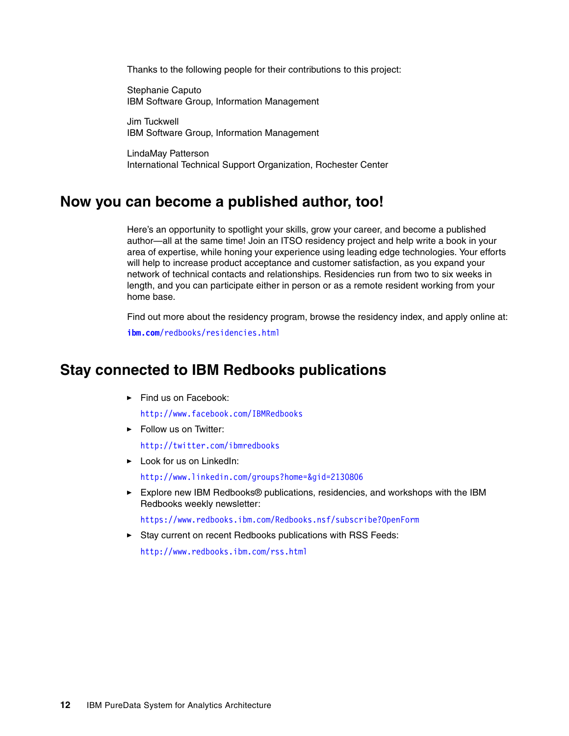Thanks to the following people for their contributions to this project:

Stephanie Caputo IBM Software Group, Information Management

Jim Tuckwell IBM Software Group, Information Management

LindaMay Patterson International Technical Support Organization, Rochester Center

### **Now you can become a published author, too!**

Here's an opportunity to spotlight your skills, grow your career, and become a published author—all at the same time! Join an ITSO residency project and help write a book in your area of expertise, while honing your experience using leading edge technologies. Your efforts will help to increase product acceptance and customer satisfaction, as you expand your network of technical contacts and relationships. Residencies run from two to six weeks in length, and you can participate either in person or as a remote resident working from your home base.

Find out more about the residency program, browse the residency index, and apply online at: **[ibm.com](http://www.redbooks.ibm.com/residencies.html)**[/redbooks/residencies.html](http://www.redbooks.ibm.com/residencies.html)

## **Stay connected to IBM Redbooks publications**

- Find us on Facebook:

<http://www.facebook.com/IBMRedbooks>

**Follow us on Twitter:** 

<http://twitter.com/ibmredbooks>

- ► Look for us on LinkedIn: <http://www.linkedin.com/groups?home=&gid=2130806>
- ► Explore new IBM Redbooks® publications, residencies, and workshops with the IBM Redbooks weekly newsletter:

<https://www.redbooks.ibm.com/Redbooks.nsf/subscribe?OpenForm>

► Stay current on recent Redbooks publications with RSS Feeds:

<http://www.redbooks.ibm.com/rss.html>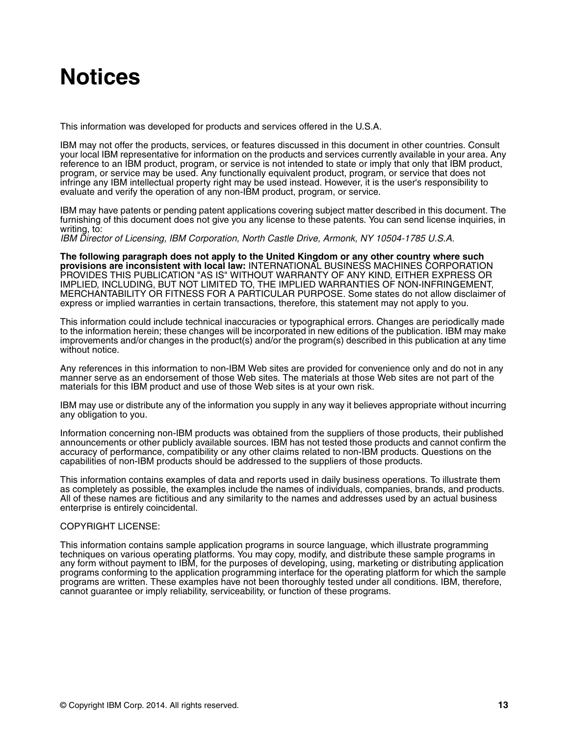# **Notices**

This information was developed for products and services offered in the U.S.A.

IBM may not offer the products, services, or features discussed in this document in other countries. Consult your local IBM representative for information on the products and services currently available in your area. Any reference to an IBM product, program, or service is not intended to state or imply that only that IBM product, program, or service may be used. Any functionally equivalent product, program, or service that does not infringe any IBM intellectual property right may be used instead. However, it is the user's responsibility to evaluate and verify the operation of any non-IBM product, program, or service.

IBM may have patents or pending patent applications covering subject matter described in this document. The furnishing of this document does not give you any license to these patents. You can send license inquiries, in writing, to:

IBM Director of Licensing, IBM Corporation, North Castle Drive, Armonk, NY 10504-1785 U.S.A.

**The following paragraph does not apply to the United Kingdom or any other country where such provisions are inconsistent with local law:** INTERNATIONAL BUSINESS MACHINES CORPORATION PROVIDES THIS PUBLICATION "AS IS" WITHOUT WARRANTY OF ANY KIND, EITHER EXPRESS OR IMPLIED, INCLUDING, BUT NOT LIMITED TO, THE IMPLIED WARRANTIES OF NON-INFRINGEMENT, MERCHANTABILITY OR FITNESS FOR A PARTICULAR PURPOSE. Some states do not allow disclaimer of express or implied warranties in certain transactions, therefore, this statement may not apply to you.

This information could include technical inaccuracies or typographical errors. Changes are periodically made to the information herein; these changes will be incorporated in new editions of the publication. IBM may make improvements and/or changes in the product(s) and/or the program(s) described in this publication at any time without notice.

Any references in this information to non-IBM Web sites are provided for convenience only and do not in any manner serve as an endorsement of those Web sites. The materials at those Web sites are not part of the materials for this IBM product and use of those Web sites is at your own risk.

IBM may use or distribute any of the information you supply in any way it believes appropriate without incurring any obligation to you.

Information concerning non-IBM products was obtained from the suppliers of those products, their published announcements or other publicly available sources. IBM has not tested those products and cannot confirm the accuracy of performance, compatibility or any other claims related to non-IBM products. Questions on the capabilities of non-IBM products should be addressed to the suppliers of those products.

This information contains examples of data and reports used in daily business operations. To illustrate them as completely as possible, the examples include the names of individuals, companies, brands, and products. All of these names are fictitious and any similarity to the names and addresses used by an actual business enterprise is entirely coincidental.

#### COPYRIGHT LICENSE:

This information contains sample application programs in source language, which illustrate programming techniques on various operating platforms. You may copy, modify, and distribute these sample programs in any form without payment to IBM, for the purposes of developing, using, marketing or distributing application programs conforming to the application programming interface for the operating platform for which the sample programs are written. These examples have not been thoroughly tested under all conditions. IBM, therefore, cannot guarantee or imply reliability, serviceability, or function of these programs.